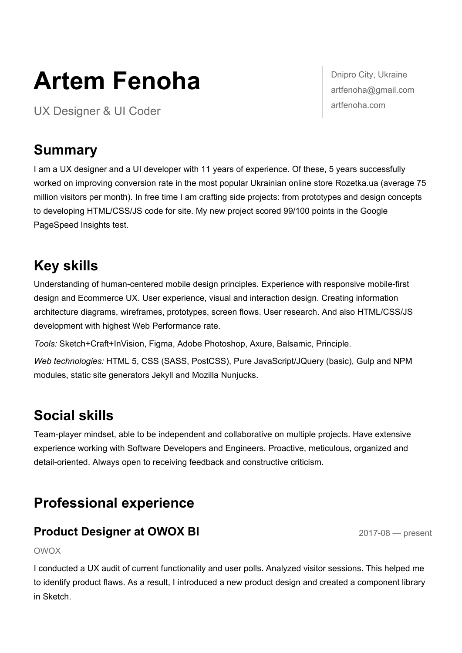# **Artem Fenoha**

UX Designer & UI Coder

Dnipro City, Ukraine artfenoha@gmail.com artfenoha.com

# **Summary**

I am a UX designer and a UI developer with 11 years of experience. Of these, 5 years successfully worked on improving conversion rate in the most popular Ukrainian online store Rozetka.ua (average 75 million visitors per month). In free time I am crafting side projects: from prototypes and design concepts to developing HTML/CSS/JS code for site. My new project scored 99/100 points in the Google PageSpeed Insights test.

# **Key skills**

Understanding of human-centered mobile design principles. Experience with responsive mobile-first design and Ecommerce UX. User experience, visual and interaction design. Creating information architecture diagrams, wireframes, prototypes, screen flows. User research. And also HTML/CSS/JS development with highest Web Performance rate.

*Tools:* Sketch+Craft+InVision, Figma, Adobe Photoshop, Axure, Balsamic, Principle.

*Web technologies:* HTML 5, CSS (SASS, PostCSS), Pure JavaScript/JQuery (basic), Gulp and NPM modules, static site generators Jekyll and Mozilla Nunjucks.

# **Social skills**

Team-player mindset, able to be independent and collaborative on multiple projects. Have extensive experience working with Software Developers and Engineers. Proactive, meticulous, organized and detail-oriented. Always open to receiving feedback and constructive criticism.

# **Professional experience**

## **Product Designer at OWOX BI** 2017-08 — present

#### OWOX

I conducted a UX audit of current functionality and user polls. Analyzed visitor sessions. This helped me to identify product flaws. As a result, I introduced a new product design and created a component library in Sketch.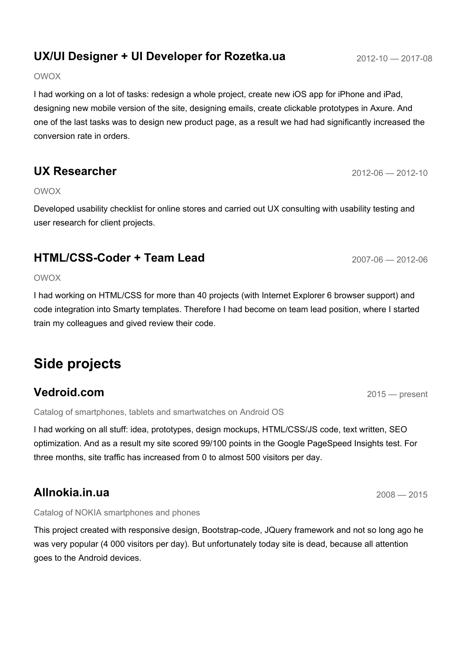# **UX/UI Designer + UI Developer for Rozetka.ua** 2012-10 - 2017-08

#### OWOX

I had working on a lot of tasks: redesign a whole project, create new iOS app for iPhone and iPad, designing new mobile version of the site, designing emails, create clickable prototypes in Axure. And one of the last tasks was to design new product page, as a result we had had significantly increased the conversion rate in orders.

## **UX Researcher** 2012-06 — 2012-10

#### OWOX

Developed usability checklist for online stores and carried out UX consulting with usability testing and user research for client projects.

## **HTML/CSS-Coder + Team Lead** 2007-06 - 2012-06

#### OWOX

I had working on HTML/CSS for more than 40 projects (with Internet Explorer 6 browser support) and code integration into Smarty templates. Therefore I had become on team lead position, where I started train my colleagues and gived review their code.

# **Side projects**

## **Vedroid.com** 2015 **Vedroid.com**

Catalog of smartphones, tablets and smartwatches on Android OS

I had working on all stuff: idea, prototypes, design mockups, HTML/CSS/JS code, text written, SEO optimization. And as a result my site scored 99/100 points in the Google PageSpeed Insights test. For three months, site traffic has increased from 0 to almost 500 visitors per day.

### **Allnokia.in.ua** <sup>2008</sup> — <sup>2015</sup>

#### Catalog of NOKIA smartphones and phones

This project created with responsive design, Bootstrap-code, JQuery framework and not so long ago he was very popular (4 000 visitors per day). But unfortunately today site is dead, because all attention goes to the Android devices.